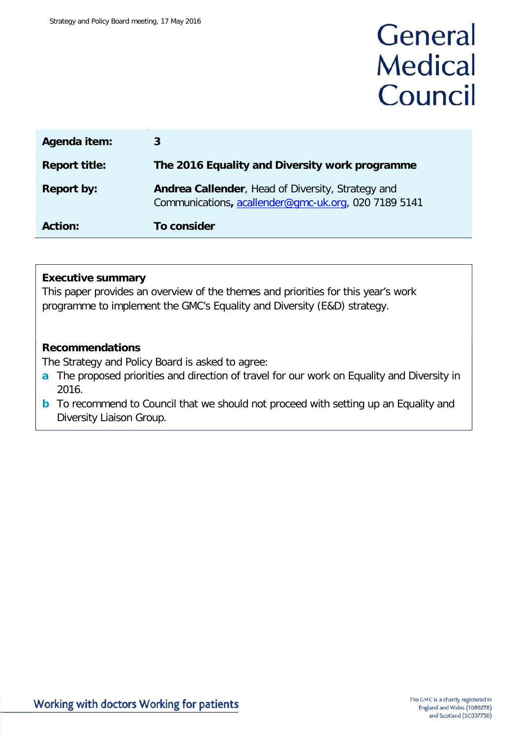# General **Medical** Council

| Agenda item:         | 3                                                                                                         |
|----------------------|-----------------------------------------------------------------------------------------------------------|
| <b>Report title:</b> | The 2016 Equality and Diversity work programme                                                            |
| <b>Report by:</b>    | Andrea Callender, Head of Diversity, Strategy and<br>Communications, acallender@gmc-uk.org, 020 7189 5141 |
| <b>Action:</b>       | To consider                                                                                               |

#### **Executive summary**

This paper provides an overview of the themes and priorities for this year's work programme to implement the GMC's Equality and Diversity (E&D) strategy.

#### **Recommendations**

The Strategy and Policy Board is asked to agree:

- **a** The proposed priorities and direction of travel for our work on Equality and Diversity in 2016.
- **b** To recommend to Council that we should not proceed with setting up an Equality and Diversity Liaison Group.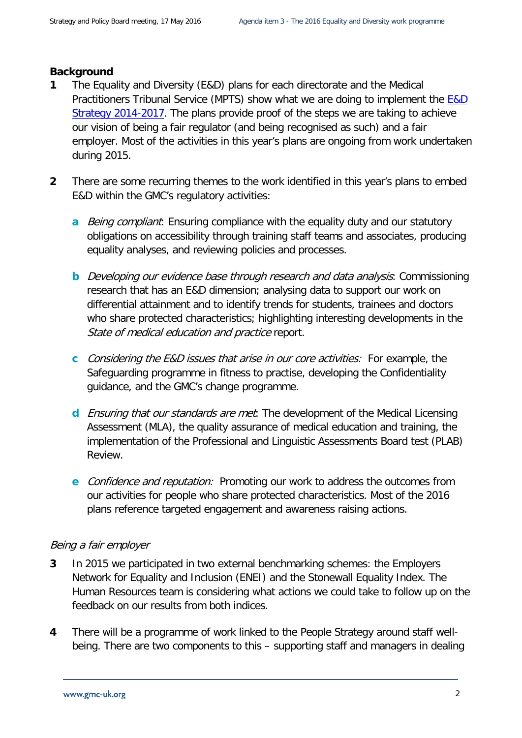### **Background**

- **1** The Equality and Diversity (E&D) plans for each directorate and the Medical Practitioners Tribunal Service (MPTS) show what we are doing to implement the [E&D](http://www.gmc-uk.org/Equality_and_diversity_strategy_2014_17.pdf_54829092.pdf)  Strategy [2014-2017.](http://www.gmc-uk.org/Equality_and_diversity_strategy_2014_17.pdf_54829092.pdf) The plans provide proof of the steps we are taking to achieve our vision of being a fair regulator (and being recognised as such) and a fair employer. Most of the activities in this year's plans are ongoing from work undertaken during 2015.
- **2** There are some recurring themes to the work identified in this year's plans to embed E&D within the GMC's regulatory activities:
	- **a** Being compliant: Ensuring compliance with the equality duty and our statutory obligations on accessibility through training staff teams and associates, producing equality analyses, and reviewing policies and processes.
	- **b** Developing our evidence base through research and data analysis: Commissioning research that has an E&D dimension; analysing data to support our work on differential attainment and to identify trends for students, trainees and doctors who share protected characteristics; highlighting interesting developments in the State of medical education and practice report.
	- **c** Considering the E&D issues that arise in our core activities: For example, the Safeguarding programme in fitness to practise, developing the Confidentiality guidance, and the GMC's change programme.
	- **d** Ensuring that our standards are met: The development of the Medical Licensing Assessment (MLA), the quality assurance of medical education and training, the implementation of the Professional and Linguistic Assessments Board test (PLAB) Review.
	- **e** Confidence and reputation: Promoting our work to address the outcomes from our activities for people who share protected characteristics. Most of the 2016 plans reference targeted engagement and awareness raising actions.

## Being a fair employer

- **3** In 2015 we participated in two external benchmarking schemes: the Employers Network for Equality and Inclusion (ENEI) and the Stonewall Equality Index. The Human Resources team is considering what actions we could take to follow up on the feedback on our results from both indices.
- **4** There will be a programme of work linked to the People Strategy around staff wellbeing. There are two components to this – supporting staff and managers in dealing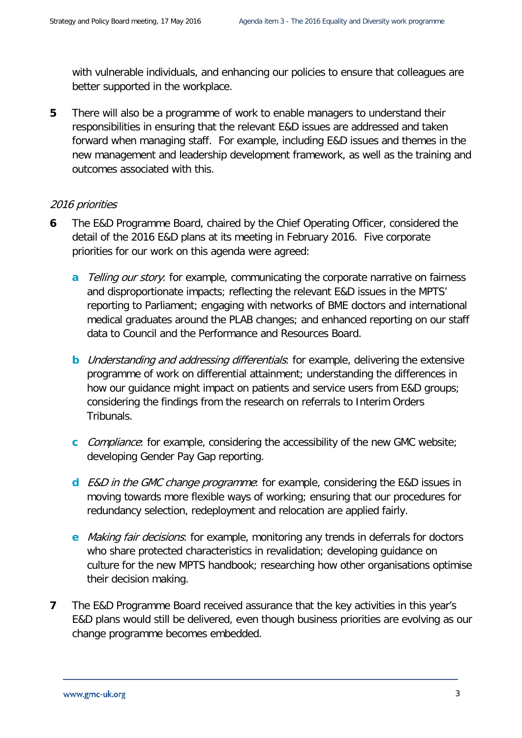with vulnerable individuals, and enhancing our policies to ensure that colleagues are better supported in the workplace.

**5** There will also be a programme of work to enable managers to understand their responsibilities in ensuring that the relevant E&D issues are addressed and taken forward when managing staff. For example, including E&D issues and themes in the new management and leadership development framework, as well as the training and outcomes associated with this.

#### 2016 priorities

- **6** The E&D Programme Board, chaired by the Chief Operating Officer, considered the detail of the 2016 E&D plans at its meeting in February 2016. Five corporate priorities for our work on this agenda were agreed:
	- **a** Telling our story: for example, communicating the corporate narrative on fairness and disproportionate impacts; reflecting the relevant E&D issues in the MPTS' reporting to Parliament; engaging with networks of BME doctors and international medical graduates around the PLAB changes; and enhanced reporting on our staff data to Council and the Performance and Resources Board.
	- **b** Understanding and addressing differentials: for example, delivering the extensive programme of work on differential attainment; understanding the differences in how our guidance might impact on patients and service users from E&D groups; considering the findings from the research on referrals to Interim Orders Tribunals.
	- **c** *Compliance*: for example, considering the accessibility of the new GMC website; developing Gender Pay Gap reporting.
	- **d** E&D in the GMC change programme: for example, considering the E&D issues in moving towards more flexible ways of working; ensuring that our procedures for redundancy selection, redeployment and relocation are applied fairly.
	- **e** Making fair decisions: for example, monitoring any trends in deferrals for doctors who share protected characteristics in revalidation; developing guidance on culture for the new MPTS handbook; researching how other organisations optimise their decision making.
- **7** The E&D Programme Board received assurance that the key activities in this year's E&D plans would still be delivered, even though business priorities are evolving as our change programme becomes embedded.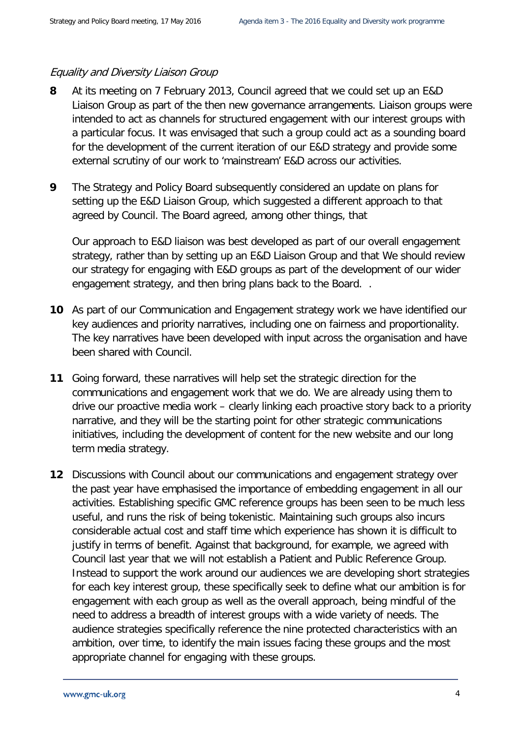### Equality and Diversity Liaison Group

- **8** At its meeting on 7 February 2013, Council agreed that we could set up an E&D Liaison Group as part of the then new governance arrangements. Liaison groups were intended to act as channels for structured engagement with our interest groups with a particular focus. It was envisaged that such a group could act as a sounding board for the development of the current iteration of our E&D strategy and provide some external scrutiny of our work to 'mainstream' E&D across our activities.
- **9** The Strategy and Policy Board subsequently considered an update on plans for setting up the E&D Liaison Group, which suggested a different approach to that agreed by Council. The Board agreed, among other things, that

Our approach to E&D liaison was best developed as part of our overall engagement strategy, rather than by setting up an E&D Liaison Group and that We should review our strategy for engaging with E&D groups as part of the development of our wider engagement strategy, and then bring plans back to the Board. .

- **10** As part of our Communication and Engagement strategy work we have identified our key audiences and priority narratives, including one on fairness and proportionality. The key narratives have been developed with input across the organisation and have been shared with Council.
- **11** Going forward, these narratives will help set the strategic direction for the communications and engagement work that we do. We are already using them to drive our proactive media work – clearly linking each proactive story back to a priority narrative, and they will be the starting point for other strategic communications initiatives, including the development of content for the new website and our long term media strategy.
- **12** Discussions with Council about our communications and engagement strategy over the past year have emphasised the importance of embedding engagement in all our activities. Establishing specific GMC reference groups has been seen to be much less useful, and runs the risk of being tokenistic. Maintaining such groups also incurs considerable actual cost and staff time which experience has shown it is difficult to justify in terms of benefit. Against that background, for example, we agreed with Council last year that we will not establish a Patient and Public Reference Group. Instead to support the work around our audiences we are developing short strategies for each key interest group, these specifically seek to define what our ambition is for engagement with each group as well as the overall approach, being mindful of the need to address a breadth of interest groups with a wide variety of needs. The audience strategies specifically reference the nine protected characteristics with an ambition, over time, to identify the main issues facing these groups and the most appropriate channel for engaging with these groups.